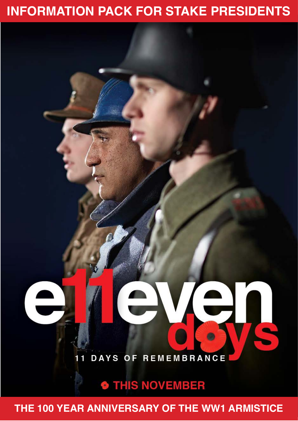### **INFORMATION PACK FOR STAKE PRESIDENTS**

## $\triangle$ **DAYS OF REMEMBRANCE** П 1

### **O THIS NOVEMBER**

**THE 100 YEAR ANNIVERSARY OF THE WW1 ARMISTICE**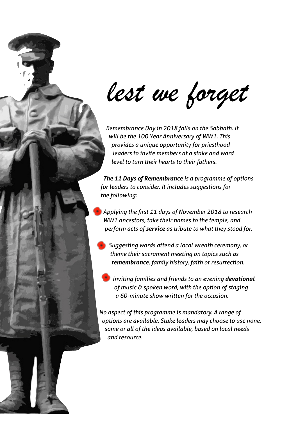*lest we forget*

 *Remembrance Day in 2018 falls on the Sabbath. It will be the 100 Year Anniversary of WW1. This provides a unique opportunity for priesthood leaders to invite members at a stake and ward level to turn their hearts to their fathers.* 

 *The 11 Days of Remembrance is a programme of options for leaders to consider. It includes suggestions for the following:* 

 *Applying the first 11 days of November 2018 to research WW1 ancestors, take their names to the temple, and perform acts of service as tribute to what they stood for.* 

 *Suggesting wards attend a local wreath ceremony, or theme their sacrament meeting on topics such as remembrance, family history, faith or resurrection.* 

 *Inviting families and friends to an evening devotional of music & spoken word, with the option of staging a 60-minute show written for the occasion.* 

*No aspect of this programme is mandatory. A range of options are available. Stake leaders may choose to use none, some or all of the ideas available, based on local needs and resource.*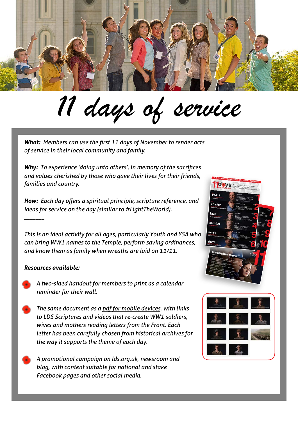

# *11 days of service*

*What: Members can use the first 11 days of November to render acts of service in their local community and family.* 

*Why: To experience 'doing unto others', in memory of the sacrifices and values cherished by those who gave their lives for their friends, families and country.* 

*How: Each day offers a spiritual principle, scripture reference, and ideas for service on the day (similar to #LightTheWorld).* 

*This is an ideal activity for all ages, particularly Youth and YSA who can bring WW1 names to the Temple, perform saving ordinances, and know them as family when wreaths are laid on 11/11.* 

#### *Resources available:*

*\_\_\_\_\_\_\_* 

- *A two-sided handout for members to print as a calendar reminder for their wall.*
- *The same document as a [pdf for mobile devices](https://www.dropbox.com/s/oi0hv4rjy19s839/11-days-calendar.pdf?dl=0), with links to LDS Scriptures and [videos](https://saleslabs.wistia.com/projects/klolxsoyet) that re-create WW1 soldiers, wives and mothers reading letters from the Front. Each letter has been carefully chosen from historical archives for the way it supports the theme of each day.* 
	- *A promotional campaign on lds.org.uk, [newsroom](https://www.mormonnewsroom.org.uk/article/11-days-in-11-ways) and blog, with content suitable for national and stake Facebook pages and other social media.*



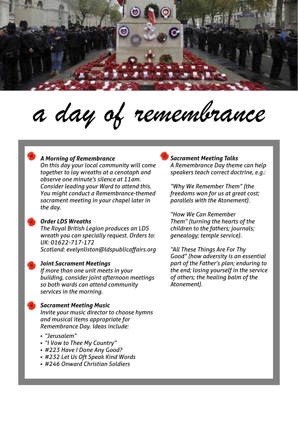

*a day of remembrance*

#### *A Morning of Remembrance*

*On this day your local community will come together to lay wreaths at a cenotaph and observe one minute's silence at 11am. Consider leading your Ward to attend this. You might conduct a Remembrance-themed sacrament meeting in your chapel later in the day.* 

#### *Order LDS Wreaths*

*The Royal British Legion produces an LDS wreath you can specially request. Orders to: UK: 01622-717-172 Scotland: evelynliston@ldspublicaffairs.org* 

#### *Joint Sacrament Meetings*

*If more than one unit meets in your building, consider joint afternoon meetings so both wards can attend community services in the morning.* 

#### *Sacrament Meeting Music*

*Invite your music director to choose hymns and musical items appropriate for Remembrance Day. Ideas include:* 

- *• "Jerusalem"*
- *• "I Vow to Thee My Country"*
- *• #223 Have I Done Any Good?*
- *• #232 Let Us Oft Speak Kind Words*
- *• #246 Onward Christian Soldiers*

#### *Sacrament Meeting Talks A Remembrance Day theme can help speakers teach correct doctrine, e.g.:*

*"Why We Remember Them" (the freedoms won for us at great cost; parallels with the Atonement).* 

*"How We Can Remember Them" (turning the hearts of the children to the fathers; journals; genealogy; temple service).* 

*"All These Things Are For Thy Good" (how adversity is an essential part of the Father's plan; enduring to the end; losing yourself in the service of others; the healing balm of the Atonement).*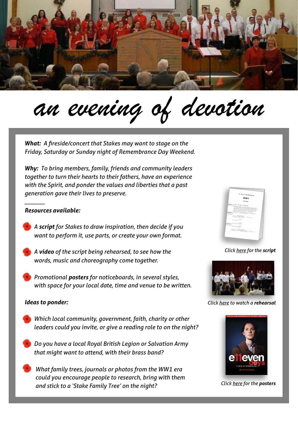

# *an evening of devotion*

*What: A fireside/concert that Stakes may want to stage on the Friday, Saturday or Sunday night of Remembrance Day Weekend.* 

*Why: To bring members, family, friends and community leaders together to turn their hearts to their fathers, have an experience with the Spirit, and ponder the values and liberties that a past generation gave their lives to preserve.* 

#### *Resources available:*

*\_\_\_\_\_\_\_* 

- *A script for Stakes to draw inspiration, then decide if you want to perform it, use parts, or create your own format.*
- *A video of the script being rehearsed, to see how the words, music and choreography come together.*
- *Promotional posters for noticeboards, in several styles, with space for your local date, time and venue to be written.*

#### *Ideas to ponder:*

- *Which local community, government, faith, charity or other leaders could you invite, or give a reading role to on the night?*
- *Do you have a local Royal British Legion or Salvation Army that might want to attend, with their brass band?*
- *What family trees, journals or photos from the WW1 era could you encourage people to research, bring with them and stick to a 'Stake Family Tree' on the night? Click [here](https://www.dropbox.com/s/xjgfbvmyva5v2ev/11%20Days%20Stake%20Posters.pdf?dl=0) for the posters*



*Click [here](https://www.dropbox.com/s/md2hlrqjh5rn9bu/11%20Days%20of%20Remembrance%20script%20-%20May%202%20Draft.docx?dl=0) for the script*



*Click [here](https://saleslabs.wistia.com/medias/t6duwejlka) to watch a rehearsal*

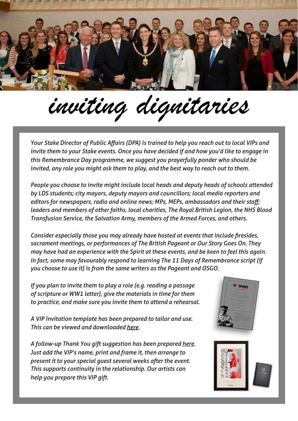

*inviting dignitaries*

*Your Stake Director of Public Affairs (DPA) is trained to help you reach out to local VIPs and invite them to your Stake events. Once you have decided if and how you'd like to engage in this Remembrance Day programme, we suggest you prayerfully ponder who should be invited, any role you might ask them to play, and the best way to reach out to them.* 

*People you choose to invite might include local heads and deputy heads of schools attended by LDS students; city mayors, deputy mayors and councillors; local media reporters and editors for newspapers, radio and online news; MPs, MEPs, ambassadors and their staff; leaders and members of other faiths, local charities, The Royal British Legion, the NHS Blood Transfusion Service, the Salvation Army, members of the Armed Forces, and others.* 

*Consider especially those you may already have hosted at events that include firesides, sacrament meetings, or performances of The British Pageant or Our Story Goes On. They may have had an experience with the Spirit at these events, and be keen to feel this again. In fact, some may favourably respond to learning The 11 Days of Remembrance script (if you choose to use it) is from the same writers as the Pageant and OSGO.* 

*If you plan to invite them to play a role (e.g. reading a passage of scripture or WW1 letter), give the materials in time for them to practice, and make sure you invite them to attend a rehearsal.* 

*A VIP Invitation template has been prepared to tailor and use. This can be viewed and downloaded [here](https://www.dropbox.com/s/hsx5luiilamfghb/VIP%20Invite.pdf?dl=0).* 

*A follow-up Thank You gift suggestion has been prepared [here](https://www.dropbox.com/s/75blz4bnopwc4d9/VIP%20Gift%20Idea.pdf?dl=0). Just add the VIP's name, print and frame it, then arrange to present it to your special guest several weeks after the event. This supports continuity in the relationship. Our artists can help you prepare this VIP gift.*